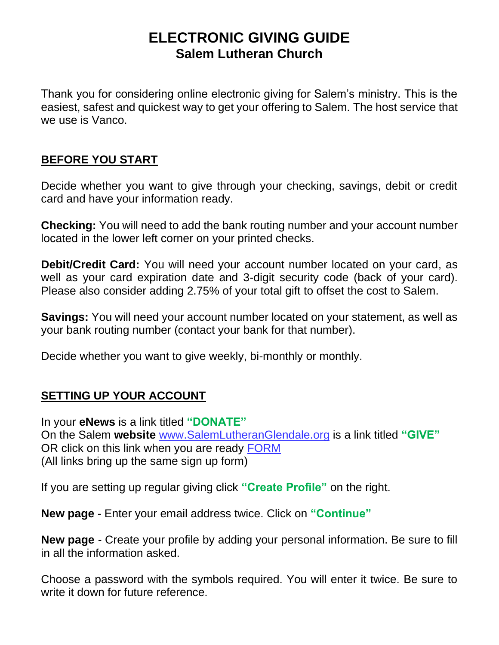# **ELECTRONIC GIVING GUIDE Salem Lutheran Church**

Thank you for considering online electronic giving for Salem's ministry. This is the easiest, safest and quickest way to get your offering to Salem. The host service that we use is Vanco.

### **BEFORE YOU START**

Decide whether you want to give through your checking, savings, debit or credit card and have your information ready.

**Checking:** You will need to add the bank routing number and your account number located in the lower left corner on your printed checks.

**Debit/Credit Card:** You will need your account number located on your card, as well as your card expiration date and 3-digit security code (back of your card). Please also consider adding 2.75% of your total gift to offset the cost to Salem.

**Savings:** You will need your account number located on your statement, as well as your bank routing number (contact your bank for that number).

Decide whether you want to give weekly, bi-monthly or monthly.

## **SETTING UP YOUR ACCOUNT**

In your **eNews** is a link titled **"DONATE"** On the Salem **website** [www.SalemLutheranGlendale.org](http://www.salemlutheranglendale.org/) is a link titled **"GIVE"** OR click on this link when you are ready [FORM](https://www.eservicepayments.com/cgi-bin/Vanco_ver3.vps?appver3=tYgT1GfNxRUldiimjHMvOWpBmpiI_PMF5g_XrTq8Nvjbto7rg8irIX1_lb7hFlma2evTpo0mld6BrVzd2nG0p4-VTD9Qvp6qaNie2rRvmVo=&ver=3) (All links bring up the same sign up form)

If you are setting up regular giving click **"Create Profile"** on the right.

**New page** - Enter your email address twice. Click on **"Continue"**

**New page** - Create your profile by adding your personal information. Be sure to fill in all the information asked.

Choose a password with the symbols required. You will enter it twice. Be sure to write it down for future reference.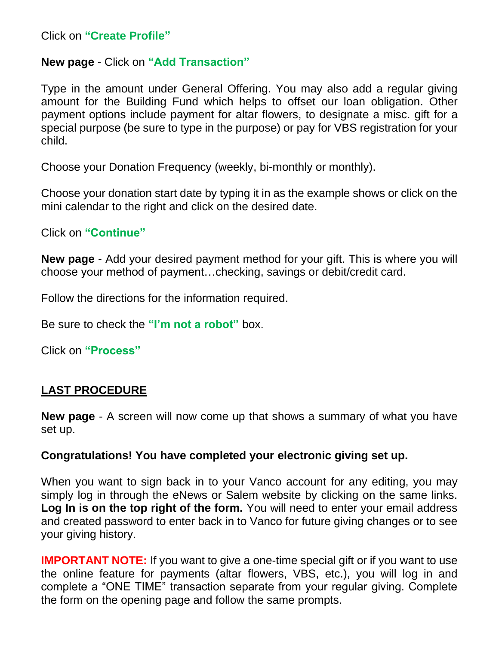Click on **"Create Profile"**

#### **New page** - Click on **"Add Transaction"**

Type in the amount under General Offering. You may also add a regular giving amount for the Building Fund which helps to offset our loan obligation. Other payment options include payment for altar flowers, to designate a misc. gift for a special purpose (be sure to type in the purpose) or pay for VBS registration for your child.

Choose your Donation Frequency (weekly, bi-monthly or monthly).

Choose your donation start date by typing it in as the example shows or click on the mini calendar to the right and click on the desired date.

Click on **"Continue"**

**New page** - Add your desired payment method for your gift. This is where you will choose your method of payment…checking, savings or debit/credit card.

Follow the directions for the information required.

Be sure to check the **"I'm not a robot"** box.

Click on **"Process"**

#### **LAST PROCEDURE**

**New page** - A screen will now come up that shows a summary of what you have set up.

#### **Congratulations! You have completed your electronic giving set up.**

When you want to sign back in to your Vanco account for any editing, you may simply log in through the eNews or Salem website by clicking on the same links. **Log In is on the top right of the form.** You will need to enter your email address and created password to enter back in to Vanco for future giving changes or to see your giving history.

**IMPORTANT NOTE:** If you want to give a one-time special gift or if you want to use the online feature for payments (altar flowers, VBS, etc.), you will log in and complete a "ONE TIME" transaction separate from your regular giving. Complete the form on the opening page and follow the same prompts.